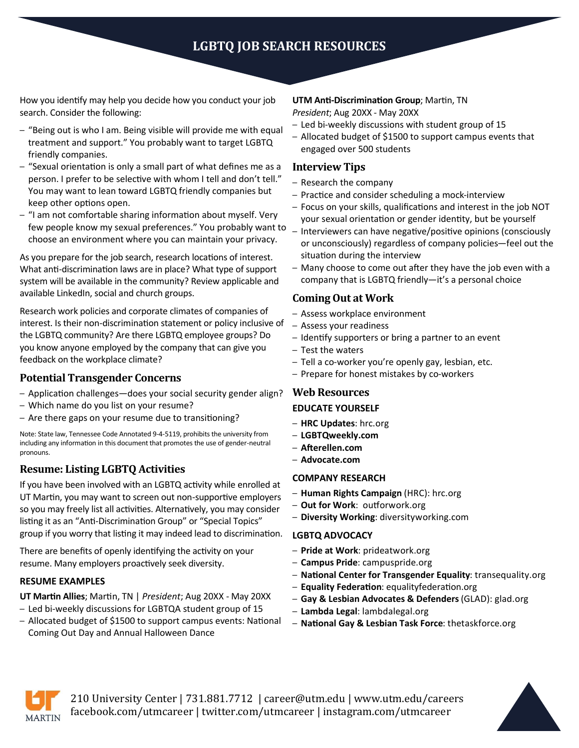# **LGBTQ JOB SEARCH RESOURCES**

How you identify may help you decide how you conduct your job search. Consider the following:

- "Being out is who I am. Being visible will provide me with equal treatment and support." You probably want to target LGBTQ friendly companies.
- "Sexual orientation is only a small part of what defines me as a person. I prefer to be selective with whom I tell and don't tell." You may want to lean toward LGBTQ friendly companies but keep other options open.
- "I am not comfortable sharing information about myself. Very few people know my sexual preferences." You probably want to choose an environment where you can maintain your privacy.

As you prepare for the job search, research locations of interest. What anti-discrimination laws are in place? What type of support system will be available in the community? Review applicable and available LinkedIn, social and church groups.

Research work policies and corporate climates of companies of interest. Is their non-discrimination statement or policy inclusive of the LGBTQ community? Are there LGBTQ employee groups? Do you know anyone employed by the company that can give you feedback on the workplace climate?

## **Potential Transgender Concerns**

- Application challenges—does your social security gender align?
- Which name do you list on your resume?
- Are there gaps on your resume due to transitioning?

Note: State law, Tennessee Code Annotated 9-4-5119, prohibits the university from including any information in this document that promotes the use of gender-neutral pronouns.

# **Resume: Listing LGBTQ Activities**

If you have been involved with an LGBTQ activity while enrolled at UT Martin, you may want to screen out non-supportive employers so you may freely list all activities. Alternatively, you may consider listing it as an "Anti-Discrimination Group" or "Special Topics" group if you worry that listing it may indeed lead to discrimination.

There are benefits of openly identifying the activity on your resume. Many employers proactively seek diversity.

## **RESUME EXAMPLES**

**UT Martin Allies**; Martin, TN | *President*; Aug 20XX - May 20XX

- Led bi-weekly discussions for LGBTQA student group of 15
- Allocated budget of \$1500 to support campus events: National Coming Out Day and Annual Halloween Dance

#### **UTM Anti-Discrimination Group**; Martin, TN

*President*; Aug 20XX - May 20XX

- Led bi-weekly discussions with student group of 15
- Allocated budget of \$1500 to support campus events that engaged over 500 students

## **Interview Tips**

- Research the company
- Practice and consider scheduling a mock-interview
- Focus on your skills, qualifications and interest in the job NOT your sexual orientation or gender identity, but be yourself
- Interviewers can have negative/positive opinions (consciously or unconsciously) regardless of company policies—feel out the situation during the interview
- Many choose to come out after they have the job even with a company that is LGBTQ friendly—it's a personal choice

# **Coming Out at Work**

- Assess workplace environment
- Assess your readiness
- Identify supporters or bring a partner to an event
- Test the waters
- Tell a co-worker you're openly gay, lesbian, etc.
- Prepare for honest mistakes by co-workers

## **Web Resources**

## **EDUCATE YOURSELF**

- **HRC Updates**: hrc.org
- **LGBTQweekly.com**
- **Afterellen.com**
- **Advocate.com**

## **COMPANY RESEARCH**

- **Human Rights Campaign** (HRC): hrc.org
- **Out for Work**: outforwork.org
- **Diversity Working**: diversityworking.com

## **LGBTQ ADVOCACY**

- **Pride at Work**: prideatwork.org
- **Campus Pride**: campuspride.org
- **National Center for Transgender Equality**: transequality.org
- **Equality Federation**: equalityfederation.org
- **Gay & Lesbian Advocates & Defenders** (GLAD): glad.org
- **Lambda Legal**: lambdalegal.org
- **National Gay & Lesbian Task Force**: thetaskforce.org